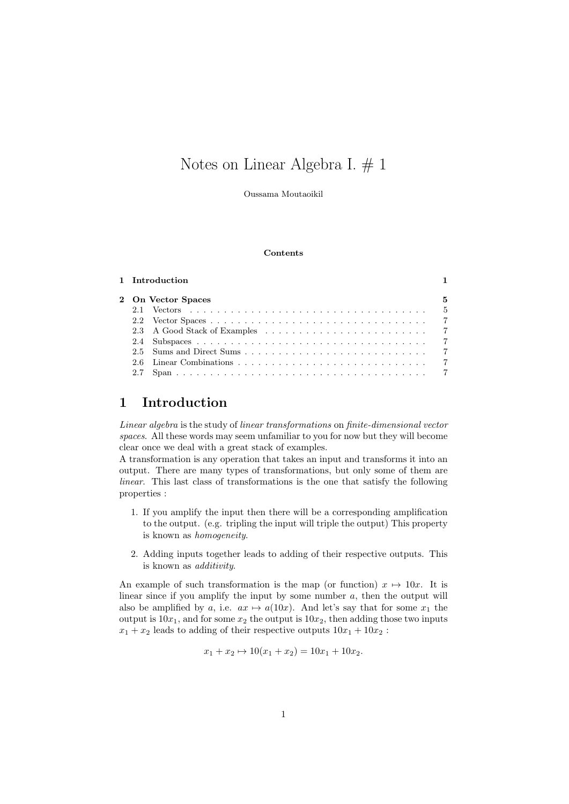# Notes on Linear Algebra I. # 1

Oussama Moutaoikil

#### Contents

|                    | 1 Introduction |  |  |  |
|--------------------|----------------|--|--|--|
| 2 On Vector Spaces |                |  |  |  |
|                    |                |  |  |  |
|                    |                |  |  |  |
|                    |                |  |  |  |
|                    |                |  |  |  |
|                    |                |  |  |  |
|                    |                |  |  |  |
|                    |                |  |  |  |

# 1 Introduction

Linear algebra is the study of linear transformations on finite-dimensional vector spaces. All these words may seem unfamiliar to you for now but they will become clear once we deal with a great stack of examples.

A transformation is any operation that takes an input and transforms it into an output. There are many types of transformations, but only some of them are linear. This last class of transformations is the one that satisfy the following properties :

- 1. If you amplify the input then there will be a corresponding amplification to the output. (e.g. tripling the input will triple the output) This property is known as homogeneity.
- 2. Adding inputs together leads to adding of their respective outputs. This is known as additivity.

An example of such transformation is the map (or function)  $x \mapsto 10x$ . It is linear since if you amplify the input by some number a, then the output will also be amplified by a, i.e.  $ax \mapsto a(10x)$ . And let's say that for some  $x_1$  the output is  $10x_1$ , and for some  $x_2$  the output is  $10x_2$ , then adding those two inputs  $x_1 + x_2$  leads to adding of their respective outputs  $10x_1 + 10x_2$ :

$$
x_1 + x_2 \mapsto 10(x_1 + x_2) = 10x_1 + 10x_2.
$$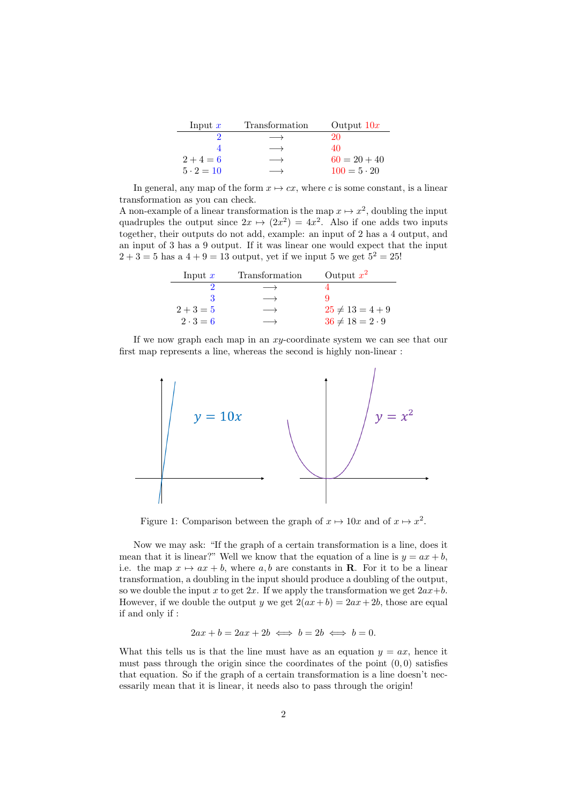| Input $x$        | Transformation    | Output $10x$       |
|------------------|-------------------|--------------------|
|                  |                   | 20                 |
|                  | $\longrightarrow$ | 40                 |
| $2+4=6$          | $\longrightarrow$ | $60 = 20 + 40$     |
| $5 \cdot 2 = 10$ |                   | $100 = 5 \cdot 20$ |

In general, any map of the form  $x \mapsto cx$ , where c is some constant, is a linear transformation as you can check.

A non-example of a linear transformation is the map  $x \mapsto x^2$ , doubling the input quadruples the output since  $2x \mapsto (2x^2) = 4x^2$ . Also if one adds two inputs together, their outputs do not add, example: an input of 2 has a 4 output, and an input of 3 has a 9 output. If it was linear one would expect that the input  $2 + 3 = 5$  has a  $4 + 9 = 13$  output, yet if we input 5 we get  $5^2 = 25!$ 

| Input $x$       | Transformation    | Output $x^2$             |
|-----------------|-------------------|--------------------------|
|                 | $\longrightarrow$ |                          |
|                 |                   |                          |
| $2+3=5$         |                   | $25 \neq 13 = 4 + 9$     |
| $2 \cdot 3 = 6$ |                   | $36 \neq 18 = 2 \cdot 9$ |

If we now graph each map in an xy-coordinate system we can see that our first map represents a line, whereas the second is highly non-linear :



Figure 1: Comparison between the graph of  $x \mapsto 10x$  and of  $x \mapsto x^2$ .

Now we may ask: "If the graph of a certain transformation is a line, does it mean that it is linear?" Well we know that the equation of a line is  $y = ax + b$ , i.e. the map  $x \mapsto ax + b$ , where a, b are constants in **R**. For it to be a linear transformation, a doubling in the input should produce a doubling of the output, so we double the input x to get  $2x$ . If we apply the transformation we get  $2ax+b$ . However, if we double the output y we get  $2(ax+b) = 2ax+2b$ , those are equal if and only if :

$$
2ax + b = 2ax + 2b \iff b = 2b \iff b = 0.
$$

What this tells us is that the line must have as an equation  $y = ax$ , hence it must pass through the origin since the coordinates of the point  $(0, 0)$  satisfies that equation. So if the graph of a certain transformation is a line doesn't necessarily mean that it is linear, it needs also to pass through the origin!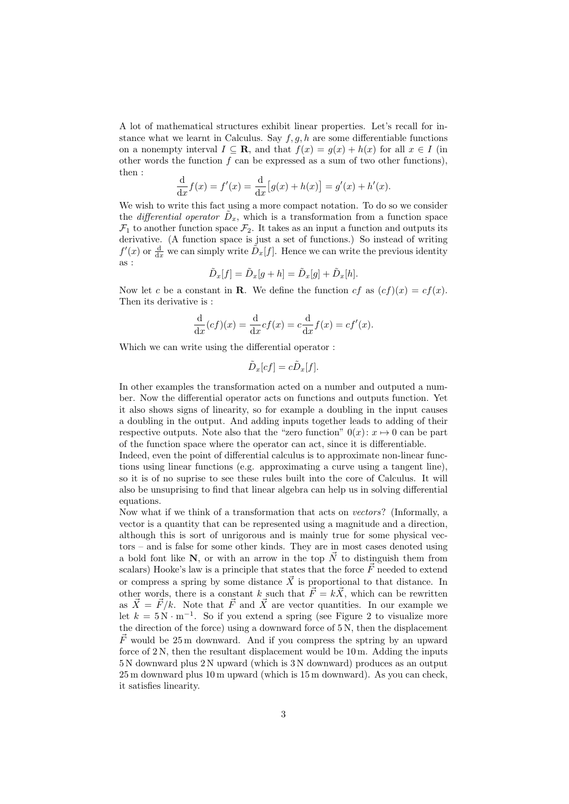A lot of mathematical structures exhibit linear properties. Let's recall for instance what we learnt in Calculus. Say  $f, g, h$  are some differentiable functions on a nonempty interval  $I \subseteq \mathbf{R}$ , and that  $f(x) = g(x) + h(x)$  for all  $x \in I$  (in other words the function  $f$  can be expressed as a sum of two other functions), then :

$$
\frac{d}{dx}f(x) = f'(x) = \frac{d}{dx}[g(x) + h(x)] = g'(x) + h'(x).
$$

We wish to write this fact using a more compact notation. To do so we consider the *differential operator*  $\tilde{D}_x$ , which is a transformation from a function space  $\mathcal{F}_1$  to another function space  $\mathcal{F}_2$ . It takes as an input a function and outputs its derivative. (A function space is just a set of functions.) So instead of writing  $f'(x)$  or  $\frac{d}{dx}$  we can simply write  $\tilde{D}_x[f]$ . Hence we can write the previous identity as :

$$
\tilde{D}_x[f] = \tilde{D}_x[g+h] = \tilde{D}_x[g] + \tilde{D}_x[h].
$$

Now let c be a constant in **R**. We define the function cf as  $(cf)(x) = cf(x)$ . Then its derivative is :

$$
\frac{\mathrm{d}}{\mathrm{d}x}(cf)(x) = \frac{\mathrm{d}}{\mathrm{d}x}cf(x) = c\frac{\mathrm{d}}{\mathrm{d}x}f(x) = cf'(x).
$$

Which we can write using the differential operator :

$$
\tilde{D}_x[cf] = c\tilde{D}_x[f].
$$

In other examples the transformation acted on a number and outputed a number. Now the differential operator acts on functions and outputs function. Yet it also shows signs of linearity, so for example a doubling in the input causes a doubling in the output. And adding inputs together leads to adding of their respective outputs. Note also that the "zero function"  $0(x): x \mapsto 0$  can be part of the function space where the operator can act, since it is differentiable.

Indeed, even the point of differential calculus is to approximate non-linear functions using linear functions (e.g. approximating a curve using a tangent line), so it is of no suprise to see these rules built into the core of Calculus. It will also be unsuprising to find that linear algebra can help us in solving differential equations.

Now what if we think of a transformation that acts on vectors? (Informally, a vector is a quantity that can be represented using a magnitude and a direction, although this is sort of unrigorous and is mainly true for some physical vectors – and is false for some other kinds. They are in most cases denoted using a bold font like N, or with an arrow in the top  $\vec{N}$  to distinguish them from scalars) Hooke's law is a principle that states that the force  $\vec{F}$  needed to extend or compress a spring by some distance  $\vec{X}$  is proportional to that distance. In other words, there is a constant k such that  $\vec{F} = k\vec{X}$ , which can be rewritten as  $\vec{X} = \vec{F} / k$ . Note that  $\vec{F}$  and  $\vec{X}$  are vector quantities. In our example we let  $k = 5 \,\mathrm{N \cdot m^{-1}}$ . So if you extend a spring (see Figure 2 to visualize more the direction of the force) using a downward force of 5 N, then the displacement  $\overline{F}$  would be 25 m downward. And if you compress the sptring by an upward force of 2 N, then the resultant displacement would be 10 m. Adding the inputs 5 N downward plus 2 N upward (which is 3 N downward) produces as an output 25 m downward plus 10 m upward (which is 15 m downward). As you can check, it satisfies linearity.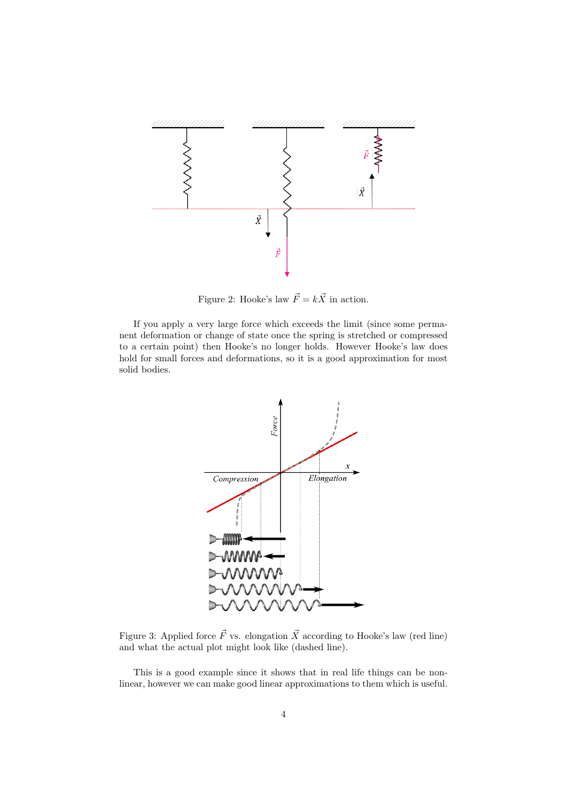

Figure 2: Hooke's law  $\vec{F} = k\vec{X}$  in action.

If you apply a very large force which exceeds the limit (since some permanent deformation or change of state once the spring is stretched or compressed to a certain point) then Hooke's no longer holds. However Hooke's law does hold for small forces and deformations, so it is a good approximation for most solid bodies.



Figure 3: Applied force  $\vec{F}$  vs. elongation  $\vec{X}$  according to Hooke's law (red line) and what the actual plot might look like (dashed line).

This is a good example since it shows that in real life things can be nonlinear, however we can make good linear approximations to them which is useful.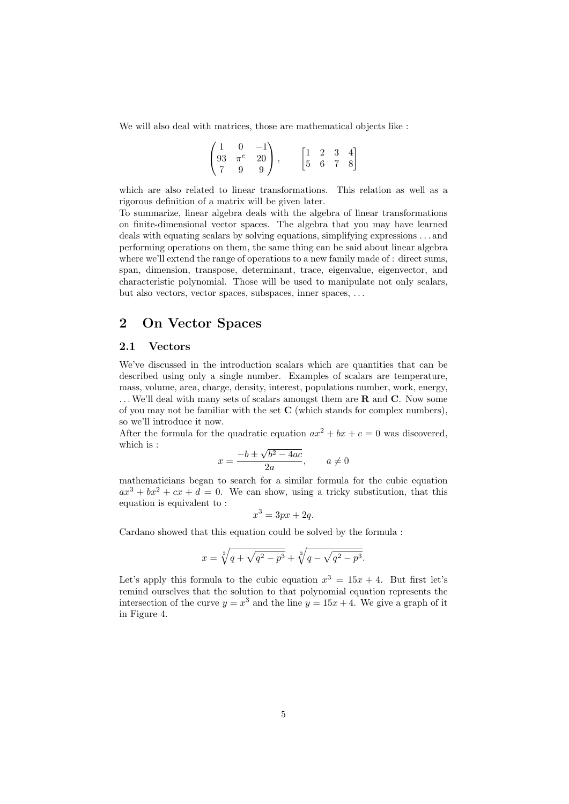We will also deal with matrices, those are mathematical objects like :

$$
\begin{pmatrix} 1 & 0 & -1 \ 93 & \pi^e & 20 \ 7 & 9 & 9 \end{pmatrix}, \qquad \begin{bmatrix} 1 & 2 & 3 & 4 \ 5 & 6 & 7 & 8 \end{bmatrix}
$$

which are also related to linear transformations. This relation as well as a rigorous definition of a matrix will be given later.

To summarize, linear algebra deals with the algebra of linear transformations on finite-dimensional vector spaces. The algebra that you may have learned deals with equating scalars by solving equations, simplifying expressions . . . and performing operations on them, the same thing can be said about linear algebra where we'll extend the range of operations to a new family made of : direct sums, span, dimension, transpose, determinant, trace, eigenvalue, eigenvector, and characteristic polynomial. Those will be used to manipulate not only scalars, but also vectors, vector spaces, subspaces, inner spaces, . . .

# 2 On Vector Spaces

### 2.1 Vectors

We've discussed in the introduction scalars which are quantities that can be described using only a single number. Examples of scalars are temperature, mass, volume, area, charge, density, interest, populations number, work, energy,  $\dots$  We'll deal with many sets of scalars amongst them are **R** and **C**. Now some of you may not be familiar with the set  $C$  (which stands for complex numbers), so we'll introduce it now.

After the formula for the quadratic equation  $ax^2 + bx + c = 0$  was discovered, which is : √

$$
x = \frac{-b \pm \sqrt{b^2 - 4ac}}{2a}, \qquad a \neq 0
$$

mathematicians began to search for a similar formula for the cubic equation  $ax^{3} + bx^{2} + cx + d = 0$ . We can show, using a tricky substitution, that this equation is equivalent to :

$$
x^3 = 3px + 2q.
$$

Cardano showed that this equation could be solved by the formula :

$$
x = \sqrt[3]{q + \sqrt{q^2 - p^3}} + \sqrt[3]{q - \sqrt{q^2 - p^3}}.
$$

Let's apply this formula to the cubic equation  $x^3 = 15x + 4$ . But first let's remind ourselves that the solution to that polynomial equation represents the intersection of the curve  $y = x^3$  and the line  $y = 15x + 4$ . We give a graph of it in Figure 4.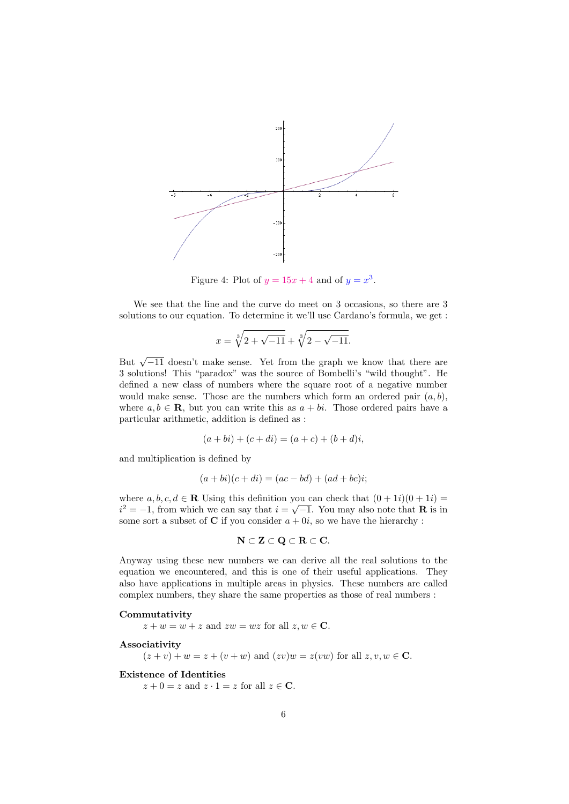

Figure 4: Plot of  $y = 15x + 4$  and of  $y = x^3$ .

We see that the line and the curve do meet on 3 occasions, so there are 3 solutions to our equation. To determine it we'll use Cardano's formula, we get :

$$
x = \sqrt[3]{2 + \sqrt{-11}} + \sqrt[3]{2 - \sqrt{-11}}.
$$

But  $\sqrt{-11}$  doesn't make sense. Yet from the graph we know that there are 3 solutions! This "paradox" was the source of Bombelli's "wild thought". He defined a new class of numbers where the square root of a negative number would make sense. Those are the numbers which form an ordered pair  $(a, b)$ , where  $a, b \in \mathbf{R}$ , but you can write this as  $a + bi$ . Those ordered pairs have a particular arithmetic, addition is defined as :

$$
(a + bi) + (c + di) = (a + c) + (b + d)i,
$$

and multiplication is defined by

$$
(a+bi)(c+di) = (ac-bd) + (ad+bc)i;
$$

where  $a, b, c, d \in \mathbb{R}$  Using this definition you can check that  $(0 + 1i)(0 + 1i) =$  $i^2 = -1$ , from which we can say that  $i = \sqrt{-1}$ . You may also note that **R** is in some sort a subset of **C** if you consider  $a + 0i$ , so we have the hierarchy :

$$
\mathbf{N} \subset \mathbf{Z} \subset \mathbf{Q} \subset \mathbf{R} \subset \mathbf{C}.
$$

Anyway using these new numbers we can derive all the real solutions to the equation we encountered, and this is one of their useful applications. They also have applications in multiple areas in physics. These numbers are called complex numbers, they share the same properties as those of real numbers :

#### Commutativity

 $z + w = w + z$  and  $zw = wz$  for all  $z, w \in \mathbb{C}$ .

Associativity

 $(z + v) + w = z + (v + w)$  and  $(zv)w = z(vw)$  for all  $z, v, w \in \mathbb{C}$ .

Existence of Identities

 $z + 0 = z$  and  $z \cdot 1 = z$  for all  $z \in \mathbb{C}$ .